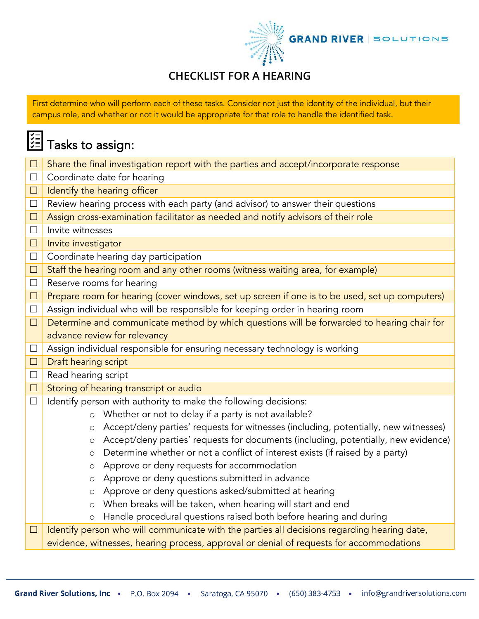

## **CHECKLIST FOR A HEARING**

First determine who will perform each of these tasks. Consider not just the identity of the individual, but their campus role, and whether or not it would be appropriate for that role to handle the identified task.

## <mark>這</mark> Tasks to assign:

| $\Box$ | Share the final investigation report with the parties and accept/incorporate response          |  |  |  |  |  |  |
|--------|------------------------------------------------------------------------------------------------|--|--|--|--|--|--|
| $\Box$ | Coordinate date for hearing                                                                    |  |  |  |  |  |  |
| $\Box$ | Identify the hearing officer                                                                   |  |  |  |  |  |  |
| $\Box$ | Review hearing process with each party (and advisor) to answer their questions                 |  |  |  |  |  |  |
| $\Box$ | Assign cross-examination facilitator as needed and notify advisors of their role               |  |  |  |  |  |  |
| $\Box$ | Invite witnesses                                                                               |  |  |  |  |  |  |
| $\Box$ | Invite investigator                                                                            |  |  |  |  |  |  |
| $\Box$ | Coordinate hearing day participation                                                           |  |  |  |  |  |  |
| $\Box$ | Staff the hearing room and any other rooms (witness waiting area, for example)                 |  |  |  |  |  |  |
| $\Box$ | Reserve rooms for hearing                                                                      |  |  |  |  |  |  |
| $\Box$ | Prepare room for hearing (cover windows, set up screen if one is to be used, set up computers) |  |  |  |  |  |  |
| $\Box$ | Assign individual who will be responsible for keeping order in hearing room                    |  |  |  |  |  |  |
| $\Box$ | Determine and communicate method by which questions will be forwarded to hearing chair for     |  |  |  |  |  |  |
|        | advance review for relevancy                                                                   |  |  |  |  |  |  |
| $\Box$ | Assign individual responsible for ensuring necessary technology is working                     |  |  |  |  |  |  |
| $\Box$ | Draft hearing script                                                                           |  |  |  |  |  |  |
| $\Box$ | Read hearing script                                                                            |  |  |  |  |  |  |
| $\Box$ | Storing of hearing transcript or audio                                                         |  |  |  |  |  |  |
| $\Box$ | Identify person with authority to make the following decisions:                                |  |  |  |  |  |  |
|        | Whether or not to delay if a party is not available?<br>$\circ$                                |  |  |  |  |  |  |
|        | Accept/deny parties' requests for witnesses (including, potentially, new witnesses)<br>$\circ$ |  |  |  |  |  |  |
|        | Accept/deny parties' requests for documents (including, potentially, new evidence)<br>$\circ$  |  |  |  |  |  |  |
|        | Determine whether or not a conflict of interest exists (if raised by a party)<br>$\circ$       |  |  |  |  |  |  |
|        | Approve or deny requests for accommodation<br>$\circ$                                          |  |  |  |  |  |  |
|        | Approve or deny questions submitted in advance<br>$\circ$                                      |  |  |  |  |  |  |
|        | Approve or deny questions asked/submitted at hearing<br>$\circ$                                |  |  |  |  |  |  |
|        | When breaks will be taken, when hearing will start and end<br>$\circ$                          |  |  |  |  |  |  |
|        | Handle procedural questions raised both before hearing and during<br>$\circ$                   |  |  |  |  |  |  |
| $\Box$ | Identify person who will communicate with the parties all decisions regarding hearing date,    |  |  |  |  |  |  |
|        | evidence, witnesses, hearing process, approval or denial of requests for accommodations        |  |  |  |  |  |  |